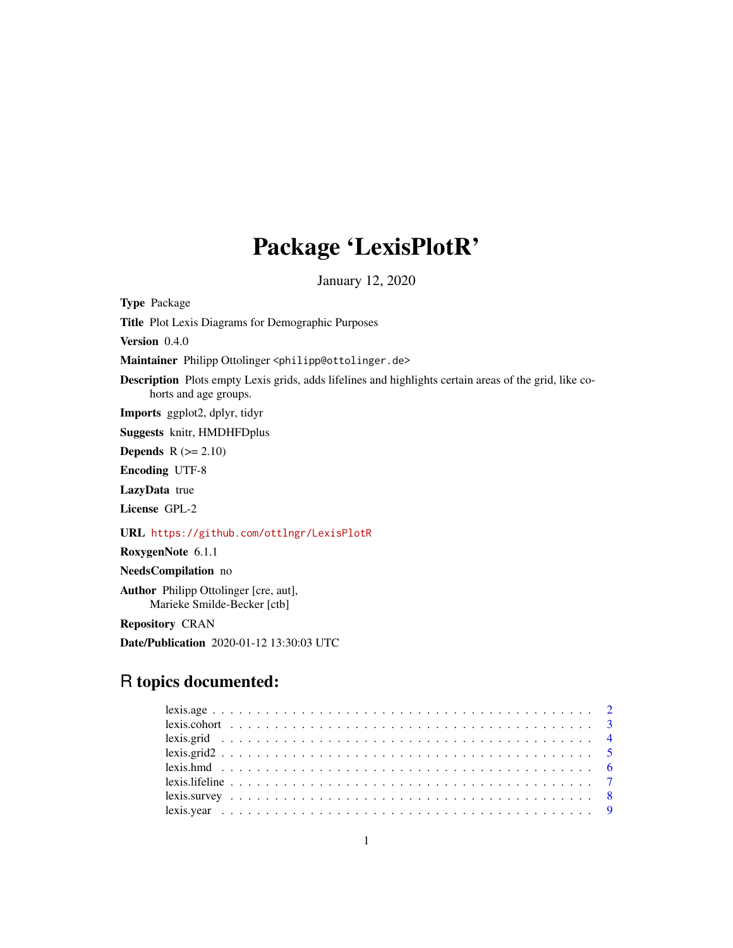## Package 'LexisPlotR'

January 12, 2020

Type Package

Title Plot Lexis Diagrams for Demographic Purposes

Version 0.4.0

Maintainer Philipp Ottolinger <philipp@ottolinger.de>

Description Plots empty Lexis grids, adds lifelines and highlights certain areas of the grid, like cohorts and age groups.

Imports ggplot2, dplyr, tidyr

Suggests knitr, HMDHFDplus

Depends  $R$  ( $>= 2.10$ )

Encoding UTF-8

LazyData true

License GPL-2

URL <https://github.com/ottlngr/LexisPlotR>

RoxygenNote 6.1.1

NeedsCompilation no

Author Philipp Ottolinger [cre, aut], Marieke Smilde-Becker [ctb]

Repository CRAN

Date/Publication 2020-01-12 13:30:03 UTC

## R topics documented: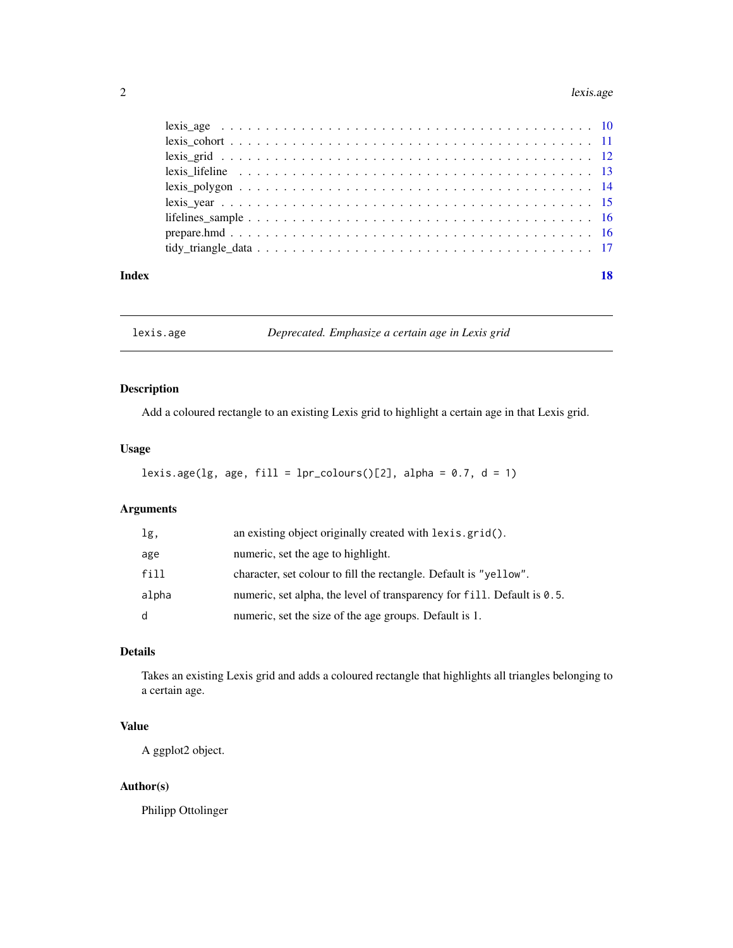#### <span id="page-1-0"></span> $2$  lexis.age sets that the contract of the contract of the contract of the contract of the contract of the contract of the contract of the contract of the contract of the contract of the contract of the contract of the c

| Index |  |
|-------|--|
|       |  |
|       |  |
|       |  |
|       |  |
|       |  |
|       |  |
|       |  |
|       |  |
|       |  |

lexis.age *Deprecated. Emphasize a certain age in Lexis grid*

## Description

Add a coloured rectangle to an existing Lexis grid to highlight a certain age in that Lexis grid.

## Usage

```
lexis.age(\lg, age, fill = \lgl-colours(\lgl], alpha = 0.7, d = 1)
```
## Arguments

| lg,   | an existing object originally created with lexis.grid().                |
|-------|-------------------------------------------------------------------------|
| age   | numeric, set the age to highlight.                                      |
| fill  | character, set colour to fill the rectangle. Default is "yellow".       |
| alpha | numeric, set alpha, the level of transparency for fill. Default is 0.5. |
| d     | numeric, set the size of the age groups. Default is 1.                  |

## Details

Takes an existing Lexis grid and adds a coloured rectangle that highlights all triangles belonging to a certain age.

## Value

A ggplot2 object.

## Author(s)

Philipp Ottolinger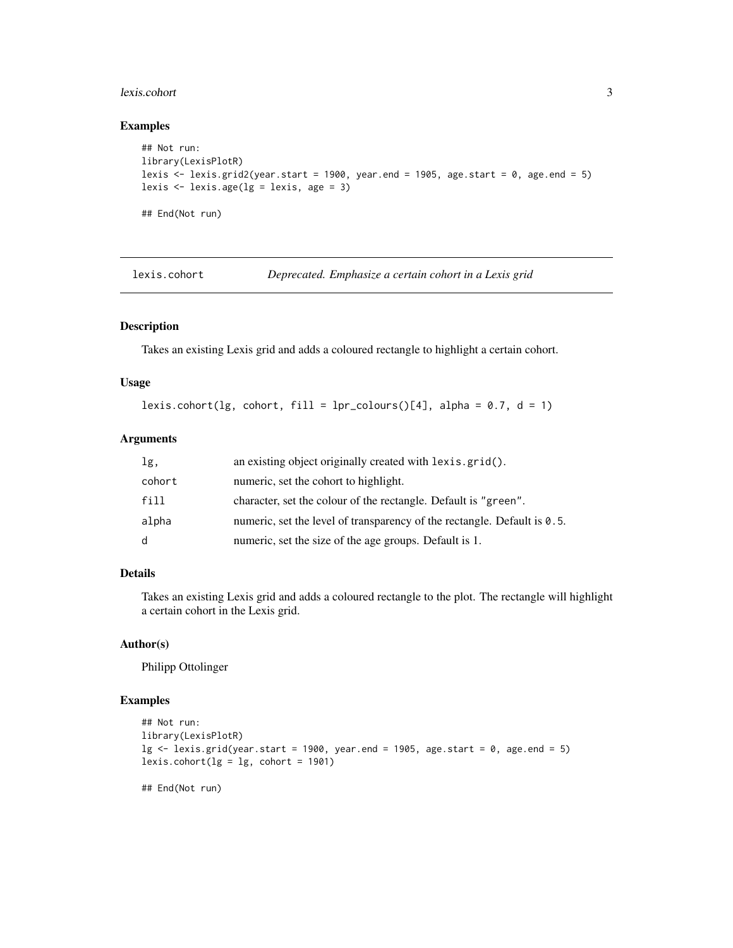#### <span id="page-2-0"></span>lexis.cohort 3

## Examples

```
## Not run:
library(LexisPlotR)
lexis \le lexis.grid2(year.start = 1900, year.end = 1905, age.start = 0, age.end = 5)
lexis \leftarrow lexis.age(\lg = lexis, age = 3)
## End(Not run)
```
lexis.cohort *Deprecated. Emphasize a certain cohort in a Lexis grid*

#### Description

Takes an existing Lexis grid and adds a coloured rectangle to highlight a certain cohort.

### Usage

```
lexis.cohort(lg, cohort, fill = lpr_{colours}()[4], alpha = 0.7, d = 1)
```
#### Arguments

| lg,    | an existing object originally created with lexis.grid().                    |
|--------|-----------------------------------------------------------------------------|
| cohort | numeric, set the cohort to highlight.                                       |
| fill   | character, set the colour of the rectangle. Default is "green".             |
| alpha  | numeric, set the level of transparency of the rectangle. Default is $0.5$ . |
| d      | numeric, set the size of the age groups. Default is 1.                      |

#### Details

Takes an existing Lexis grid and adds a coloured rectangle to the plot. The rectangle will highlight a certain cohort in the Lexis grid.

#### Author(s)

Philipp Ottolinger

```
## Not run:
library(LexisPlotR)
lg \le lexis.grid(year.start = 1900, year.end = 1905, age.start = 0, age.end = 5)
lexis.cohort(\lg = \lg, cohort = 1901)
## End(Not run)
```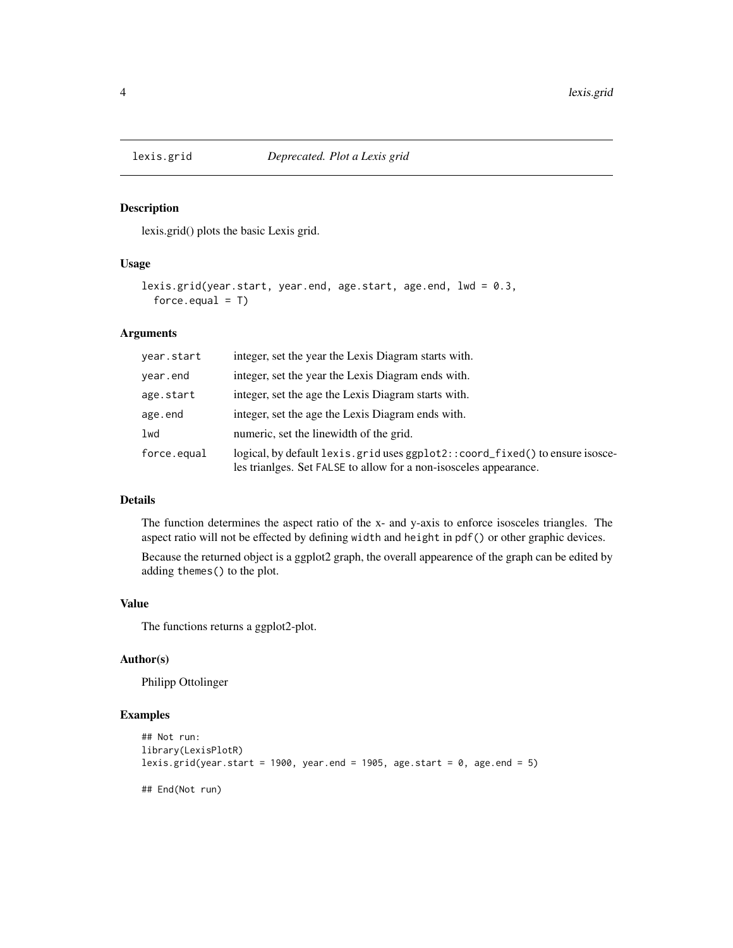<span id="page-3-0"></span>

lexis.grid() plots the basic Lexis grid.

## Usage

```
lexis.grid(year.start, year.end, age.start, age.end, lwd = 0.3,
  force.equals = T)
```
#### Arguments

| year.start  | integer, set the year the Lexis Diagram starts with.                                                                                              |
|-------------|---------------------------------------------------------------------------------------------------------------------------------------------------|
| year.end    | integer, set the year the Lexis Diagram ends with.                                                                                                |
| age.start   | integer, set the age the Lexis Diagram starts with.                                                                                               |
| age.end     | integer, set the age the Lexis Diagram ends with.                                                                                                 |
| lwd         | numeric, set the linewidth of the grid.                                                                                                           |
| force.equal | logical, by default lexis.grid uses ggplot2::coord_fixed() to ensure isosce-<br>les trianlges. Set FALSE to allow for a non-isosceles appearance. |

## Details

The function determines the aspect ratio of the x- and y-axis to enforce isosceles triangles. The aspect ratio will not be effected by defining width and height in pdf() or other graphic devices.

Because the returned object is a ggplot2 graph, the overall appearence of the graph can be edited by adding themes() to the plot.

#### Value

The functions returns a ggplot2-plot.

#### Author(s)

Philipp Ottolinger

```
## Not run:
library(LexisPlotR)
lexis.grid(year.start = 1900, year.end = 1905, age.start = 0, age.end = 5)
## End(Not run)
```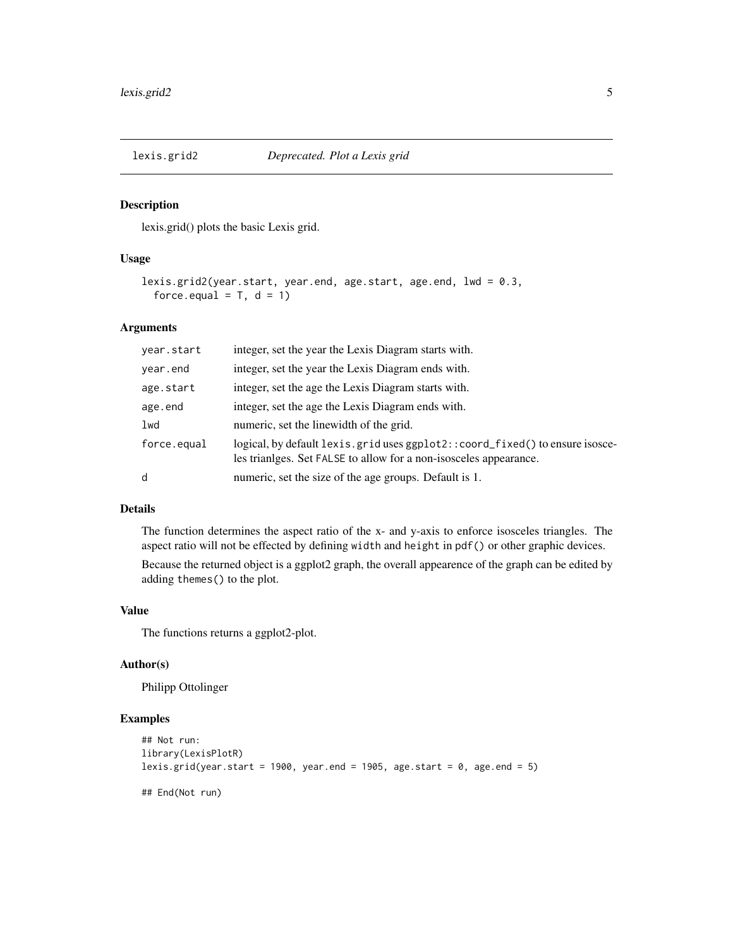<span id="page-4-0"></span>

lexis.grid() plots the basic Lexis grid.

#### Usage

```
lexis.grid2(year.start, year.end, age.start, age.end, lwd = 0.3,
  force.equal = T, d = 1)
```
#### Arguments

| year.start  | integer, set the year the Lexis Diagram starts with.                                                                                             |
|-------------|--------------------------------------------------------------------------------------------------------------------------------------------------|
| year.end    | integer, set the year the Lexis Diagram ends with.                                                                                               |
| age.start   | integer, set the age the Lexis Diagram starts with.                                                                                              |
| age.end     | integer, set the age the Lexis Diagram ends with.                                                                                                |
| lwd         | numeric, set the linewidth of the grid.                                                                                                          |
| force.equal | logical, by default lexis.grid uses ggplot2::coord_fixed() to ensure isosce-<br>les trianges. Set FALSE to allow for a non-isosceles appearance. |
| d           | numeric, set the size of the age groups. Default is 1.                                                                                           |

#### Details

The function determines the aspect ratio of the x- and y-axis to enforce isosceles triangles. The aspect ratio will not be effected by defining width and height in pdf() or other graphic devices.

Because the returned object is a ggplot2 graph, the overall appearence of the graph can be edited by adding themes() to the plot.

#### Value

The functions returns a ggplot2-plot.

## Author(s)

Philipp Ottolinger

```
## Not run:
library(LexisPlotR)
lexis.grid(year.start = 1900, year.end = 1905, age.start = 0, age.end = 5)
```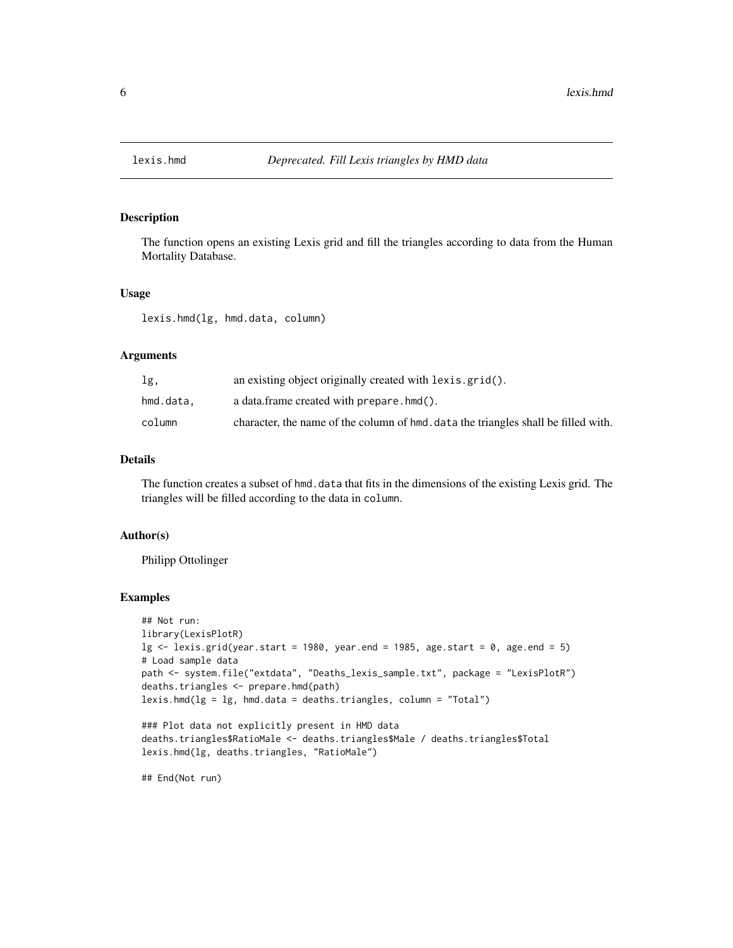<span id="page-5-0"></span>

The function opens an existing Lexis grid and fill the triangles according to data from the Human Mortality Database.

#### Usage

lexis.hmd(lg, hmd.data, column)

## Arguments

| lg,       | an existing object originally created with lexis.grid().                           |
|-----------|------------------------------------------------------------------------------------|
| hmd.data. | a data.frame created with prepare.hmd().                                           |
| column    | character, the name of the column of hmd, data the triangles shall be filled with. |

## Details

The function creates a subset of hmd. data that fits in the dimensions of the existing Lexis grid. The triangles will be filled according to the data in column.

#### Author(s)

Philipp Ottolinger

#### Examples

```
## Not run:
library(LexisPlotR)
\lg <- lexis.grid(year.start = 1980, year.end = 1985, age.start = 0, age.end = 5)
# Load sample data
path <- system.file("extdata", "Deaths_lexis_sample.txt", package = "LexisPlotR")
deaths.triangles <- prepare.hmd(path)
lexis.hmd(lg = lg, hmd.data = deaths.traingles, column = "Total")
```

```
### Plot data not explicitly present in HMD data
deaths.triangles$RatioMale <- deaths.triangles$Male / deaths.triangles$Total
lexis.hmd(lg, deaths.triangles, "RatioMale")
```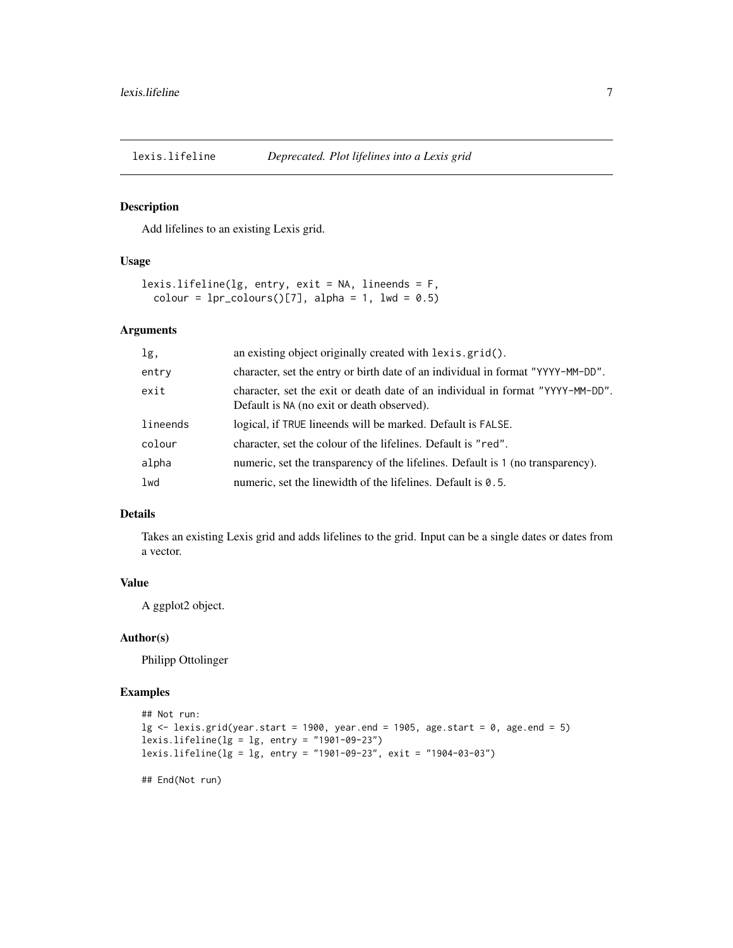<span id="page-6-0"></span>

Add lifelines to an existing Lexis grid.

#### Usage

```
lexis.lifeline(\lg, entry, exit = NA, lineends = F,
  colour = 1pr_{colours}([7], alpha = 1, lwd = 0.5)
```
#### Arguments

| lg,      | an existing object originally created with lexis.grid().                                                                     |
|----------|------------------------------------------------------------------------------------------------------------------------------|
| entry    | character, set the entry or birth date of an individual in format "YYYY-MM-DD".                                              |
| exit     | character, set the exit or death date of an individual in format "YYYY-MM-DD".<br>Default is NA (no exit or death observed). |
| lineends | logical, if TRUE lineends will be marked. Default is FALSE.                                                                  |
| colour   | character, set the colour of the lifelines. Default is "red".                                                                |
| alpha    | numeric, set the transparency of the lifelines. Default is 1 (no transparency).                                              |
| lwd      | numeric, set the linewidth of the lifelines. Default is $0.5$ .                                                              |

## Details

Takes an existing Lexis grid and adds lifelines to the grid. Input can be a single dates or dates from a vector.

#### Value

A ggplot2 object.

#### Author(s)

Philipp Ottolinger

## Examples

```
## Not run:
\lg <- lexis.grid(year.start = 1900, year.end = 1905, age.start = 0, age.end = 5)
lexis.lifeline(lg = lg, entry = "1901-09-23")
lexis.lifeline(lg = lg, entry = "1901-09-23", exit = "1904-03-03")
```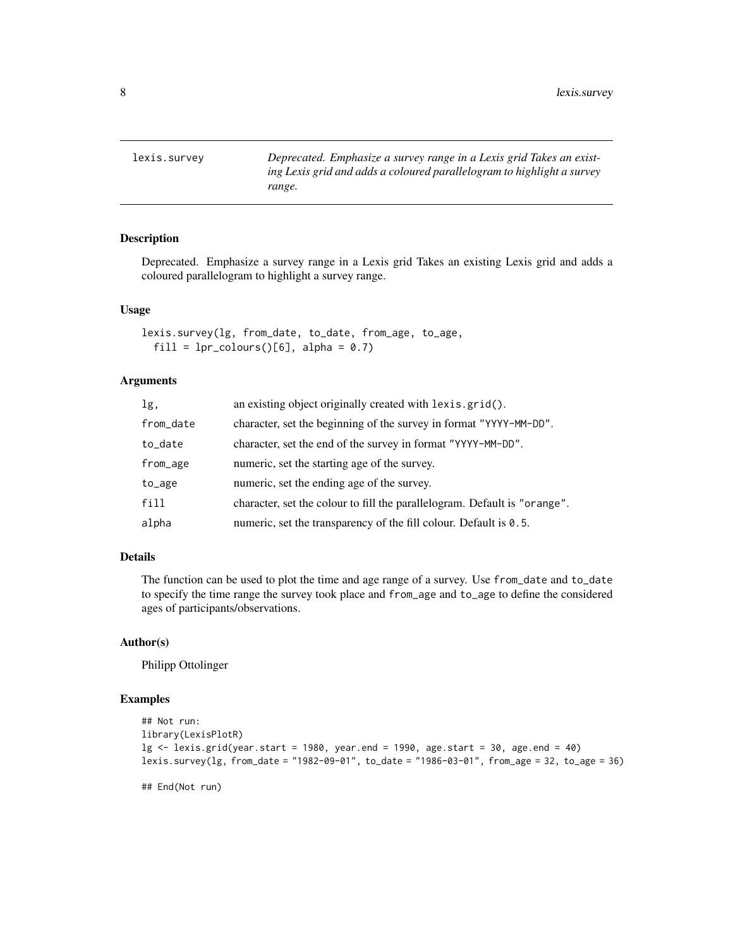<span id="page-7-0"></span>lexis.survey *Deprecated. Emphasize a survey range in a Lexis grid Takes an existing Lexis grid and adds a coloured parallelogram to highlight a survey range.*

## Description

Deprecated. Emphasize a survey range in a Lexis grid Takes an existing Lexis grid and adds a coloured parallelogram to highlight a survey range.

#### Usage

```
lexis.survey(lg, from_date, to_date, from_age, to_age,
  fill = lpr_{colours}()[6], alpha = 0.7)
```
#### Arguments

| lg,       | an existing object originally created with lexis.grid().                  |
|-----------|---------------------------------------------------------------------------|
| from_date | character, set the beginning of the survey in format "YYYY-MM-DD".        |
| to_date   | character, set the end of the survey in format "YYYY-MM-DD".              |
| from_age  | numeric, set the starting age of the survey.                              |
| to_age    | numeric, set the ending age of the survey.                                |
| fill      | character, set the colour to fill the parallelogram. Default is "orange". |
| alpha     | numeric, set the transparency of the fill colour. Default is $0.5$ .      |

#### Details

The function can be used to plot the time and age range of a survey. Use from\_date and to\_date to specify the time range the survey took place and from\_age and to\_age to define the considered ages of participants/observations.

#### Author(s)

Philipp Ottolinger

```
## Not run:
library(LexisPlotR)
lg \le lexis.grid(year.start = 1980, year.end = 1990, age.start = 30, age.end = 40)
lexis.survey(lg, from_date = "1982-09-01", to_date = "1986-03-01", from_age = 32, to_age = 36)
## End(Not run)
```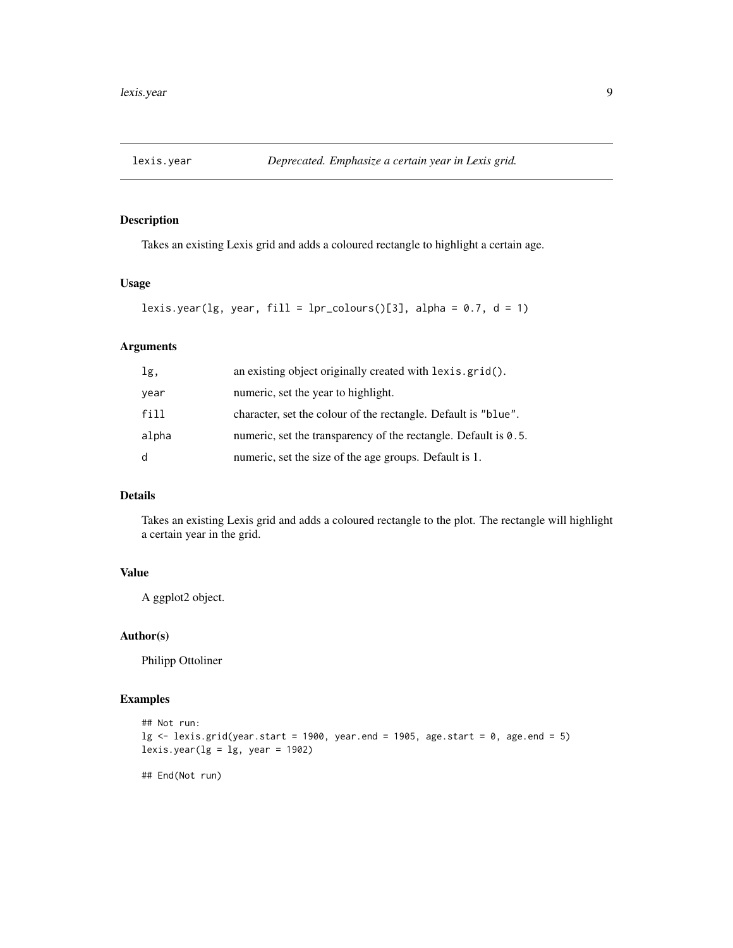<span id="page-8-0"></span>

Takes an existing Lexis grid and adds a coloured rectangle to highlight a certain age.

## Usage

```
lexis.year(lg, year, fill = 1pr_{colours}([3], alpha = 0.7, d = 1)
```
## Arguments

| lg,   | an existing object originally created with lexis.grid().        |
|-------|-----------------------------------------------------------------|
| year  | numeric, set the year to highlight.                             |
| fill  | character, set the colour of the rectangle. Default is "blue".  |
| alpha | numeric, set the transparency of the rectangle. Default is 0.5. |
| d     | numeric, set the size of the age groups. Default is 1.          |

## Details

Takes an existing Lexis grid and adds a coloured rectangle to the plot. The rectangle will highlight a certain year in the grid.

## Value

A ggplot2 object.

## Author(s)

Philipp Ottoliner

## Examples

```
## Not run:
\lg <- lexis.grid(year.start = 1900, year.end = 1905, age.start = 0, age.end = 5)
lexis.year(lg = lg, year = 1902)
```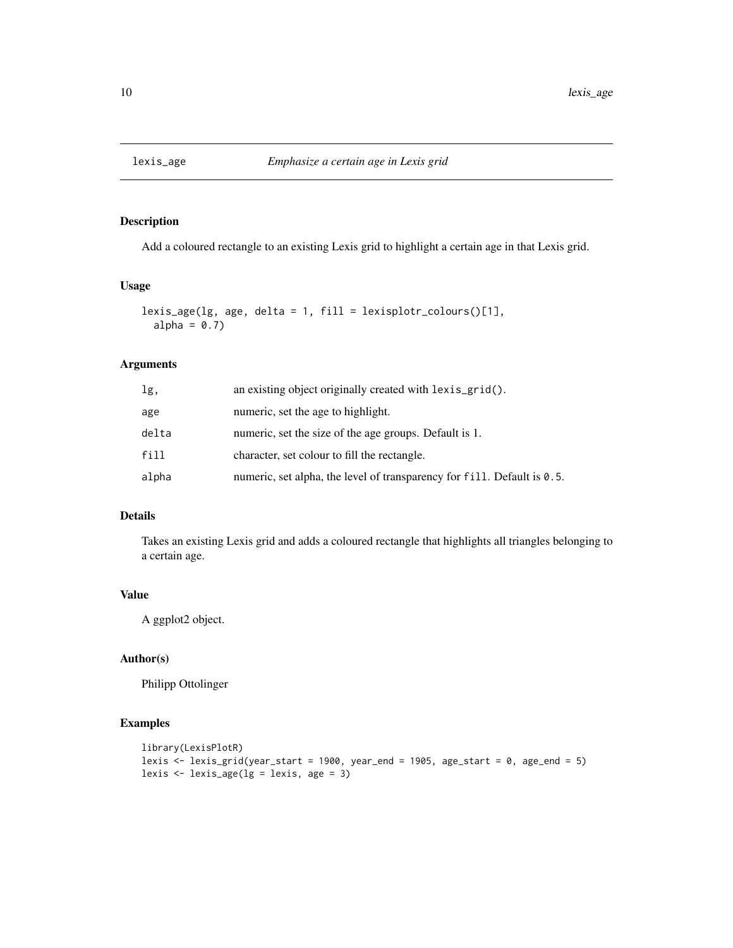<span id="page-9-0"></span>

Add a coloured rectangle to an existing Lexis grid to highlight a certain age in that Lexis grid.

#### Usage

```
lexis_age(lg, age, delta = 1, fill = lexisplotr_colours()[1],
  alpha = 0.7)
```
## Arguments

| lg,   | an existing object originally created with lexis_grid().                |
|-------|-------------------------------------------------------------------------|
| age   | numeric, set the age to highlight.                                      |
| delta | numeric, set the size of the age groups. Default is 1.                  |
| fill  | character, set colour to fill the rectangle.                            |
| alpha | numeric, set alpha, the level of transparency for fill. Default is 0.5. |

## Details

Takes an existing Lexis grid and adds a coloured rectangle that highlights all triangles belonging to a certain age.

#### Value

A ggplot2 object.

## Author(s)

Philipp Ottolinger

```
library(LexisPlotR)
lexis \le lexis_grid(year_start = 1900, year_end = 1905, age_start = 0, age_end = 5)
lexis \le lexis_age(lg = lexis, age = 3)
```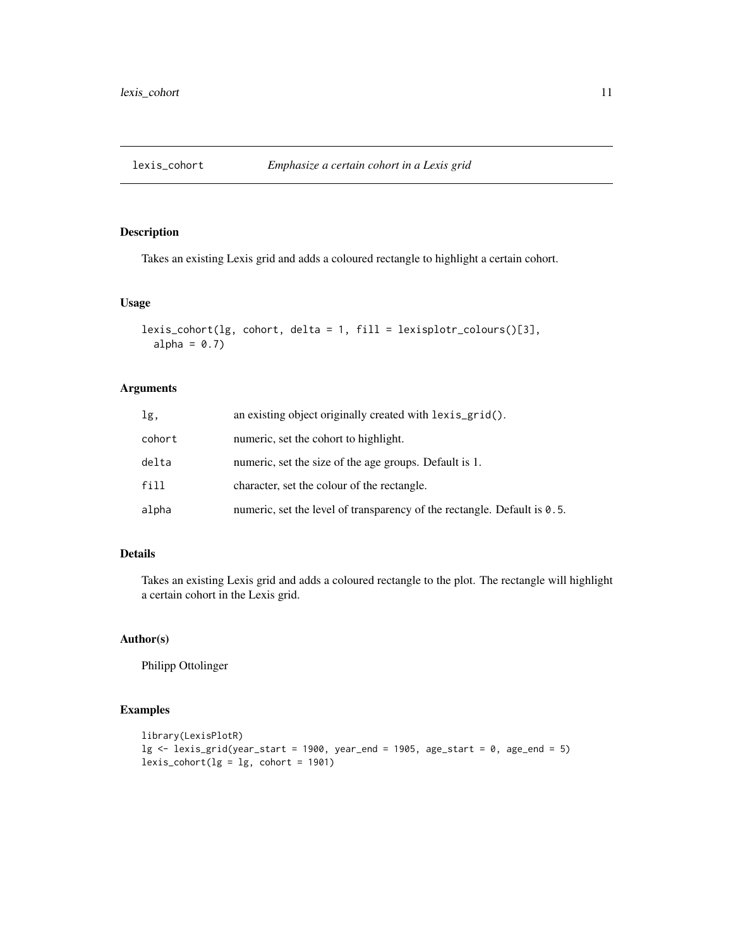<span id="page-10-0"></span>

Takes an existing Lexis grid and adds a coloured rectangle to highlight a certain cohort.

#### Usage

```
lexis_cohort(lg, cohort, delta = 1, fill = lexisplotr_colours()[3],
  alpha = 0.7)
```
## Arguments

| lg,    | an existing object originally created with lexis_grid().                    |
|--------|-----------------------------------------------------------------------------|
| cohort | numeric, set the cohort to highlight.                                       |
| delta  | numeric, set the size of the age groups. Default is 1.                      |
| fill   | character, set the colour of the rectangle.                                 |
| alpha  | numeric, set the level of transparency of the rectangle. Default is $0.5$ . |

## Details

Takes an existing Lexis grid and adds a coloured rectangle to the plot. The rectangle will highlight a certain cohort in the Lexis grid.

## Author(s)

Philipp Ottolinger

```
library(LexisPlotR)
lg \leftarrow lexis_grid(year_start = 1900, year_end = 1905, age_start = 0, age_end = 5)
lexis\_cohort(lg = lg, cohort = 1901)
```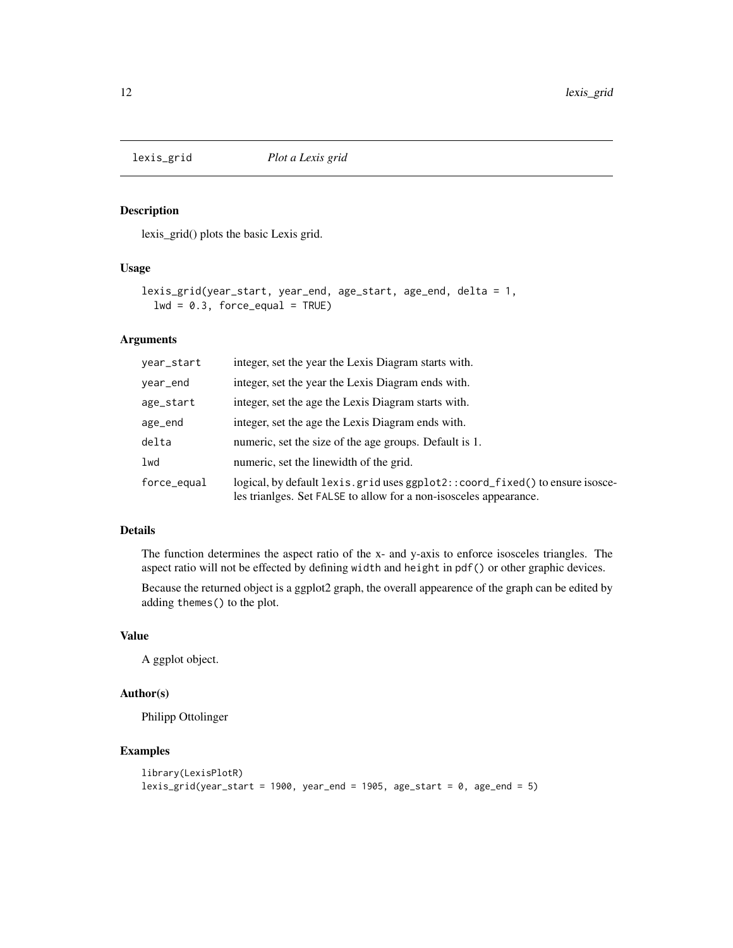<span id="page-11-0"></span>

lexis\_grid() plots the basic Lexis grid.

#### Usage

```
lexis_grid(year_start, year_end, age_start, age_end, delta = 1,
 lwd = 0.3, force_equal = TRUE)
```
### Arguments

| year_start  | integer, set the year the Lexis Diagram starts with.                                                                                             |
|-------------|--------------------------------------------------------------------------------------------------------------------------------------------------|
| year_end    | integer, set the year the Lexis Diagram ends with.                                                                                               |
| age_start   | integer, set the age the Lexis Diagram starts with.                                                                                              |
| age_end     | integer, set the age the Lexis Diagram ends with.                                                                                                |
| delta       | numeric, set the size of the age groups. Default is 1.                                                                                           |
| lwd         | numeric, set the linewidth of the grid.                                                                                                          |
| force_equal | logical, by default lexis.grid uses ggplot2::coord_fixed() to ensure isosce-<br>les trianges. Set FALSE to allow for a non-isosceles appearance. |

#### Details

The function determines the aspect ratio of the x- and y-axis to enforce isosceles triangles. The aspect ratio will not be effected by defining width and height in pdf() or other graphic devices.

Because the returned object is a ggplot2 graph, the overall appearence of the graph can be edited by adding themes() to the plot.

## Value

A ggplot object.

## Author(s)

Philipp Ottolinger

```
library(LexisPlotR)
lexis_grid(year_sstart = 1900, year_send = 1905, age_star = 0, age_send = 5)
```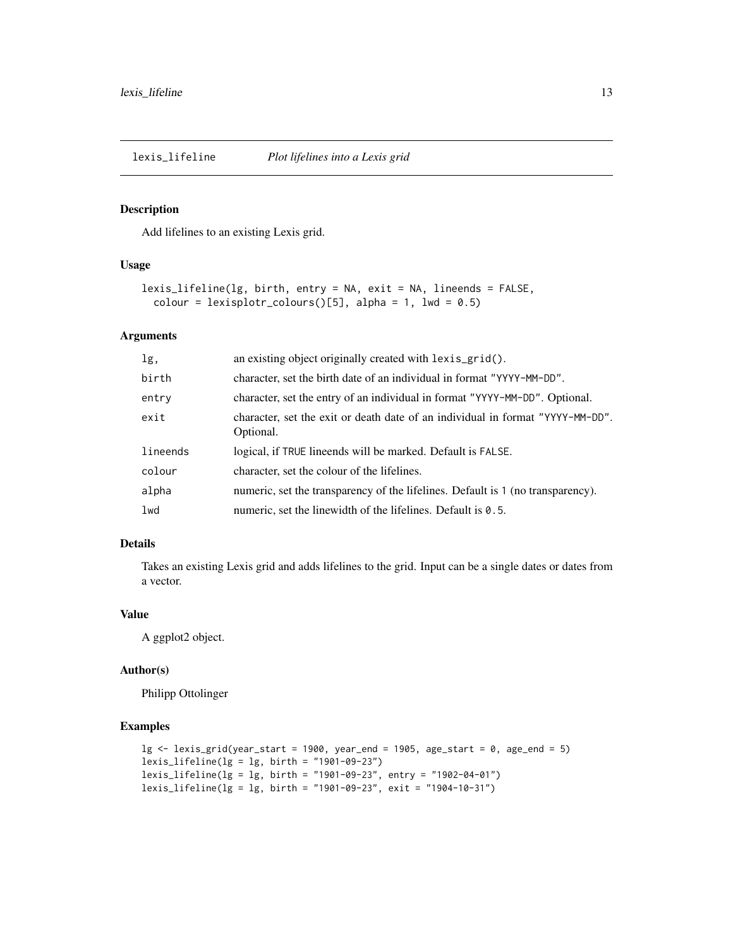<span id="page-12-0"></span>

Add lifelines to an existing Lexis grid.

#### Usage

```
lexis_lifeline(lg, birth, entry = NA, exit = NA, lineends = FALSE,
  colour = lexisplotr_colours()[5], alpha = 1, lwd = 0.5)
```
## Arguments

| lg,      | an existing object originally created with lexis_grid().                                    |
|----------|---------------------------------------------------------------------------------------------|
| birth    | character, set the birth date of an individual in format "YYYY-MM-DD".                      |
| entry    | character, set the entry of an individual in format "YYYY-MM-DD". Optional.                 |
| exit     | character, set the exit or death date of an individual in format "YYYY-MM-DD".<br>Optional. |
| lineends | logical, if TRUE lineends will be marked. Default is FALSE.                                 |
| colour   | character, set the colour of the lifelines.                                                 |
| alpha    | numeric, set the transparency of the lifelines. Default is 1 (no transparency).             |
| 1wd      | numeric, set the linewidth of the lifelines. Default is 0.5.                                |

#### Details

Takes an existing Lexis grid and adds lifelines to the grid. Input can be a single dates or dates from a vector.

## Value

A ggplot2 object.

#### Author(s)

Philipp Ottolinger

```
lg \leftarrow lexis_grid(year_start = 1900, year_end = 1905, age_start = 0, age_end = 5)
lexis_lifeline(lg = lg, birth = "1901-09-23")
lexis_lifeline(lg = lg, birth = "1901-09-23", entry = "1902-04-01")
lexis_lifeline(lg = lg, birth = "1901-09-23", exit = "1904-10-31")
```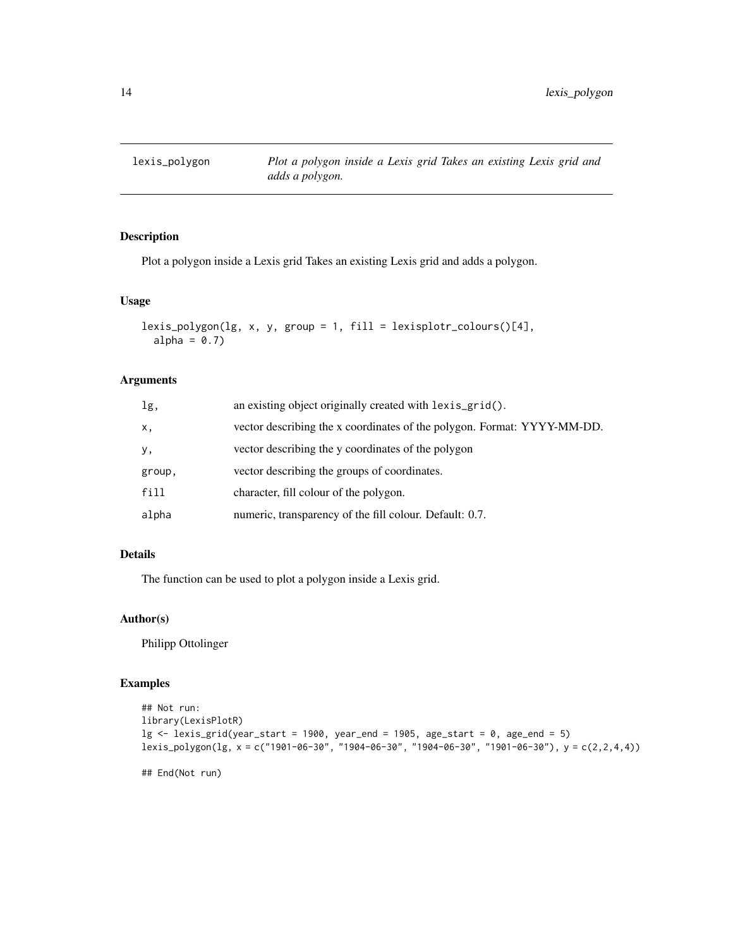<span id="page-13-0"></span>

Plot a polygon inside a Lexis grid Takes an existing Lexis grid and adds a polygon.

#### Usage

```
lexis_polygon(lg, x, y, group = 1, fill = lexisplotr_colours()[4],
  alpha = 0.7)
```
#### Arguments

| lg,    | an existing object originally created with lexis_grid().                |
|--------|-------------------------------------------------------------------------|
| X,     | vector describing the x coordinates of the polygon. Format: YYYY-MM-DD. |
| у,     | vector describing the y coordinates of the polygon                      |
| group, | vector describing the groups of coordinates.                            |
| fill   | character, fill colour of the polygon.                                  |
| alpha  | numeric, transparency of the fill colour. Default: 0.7.                 |

## Details

The function can be used to plot a polygon inside a Lexis grid.

#### Author(s)

Philipp Ottolinger

## Examples

```
## Not run:
library(LexisPlotR)
lg \leftarrow lexis_grid(year_start = 1900, year_end = 1905, age_start = 0, age_end = 5)
lexis_polygon(lg, x = c("1901-06-30", "1904-06-30", "1904-06-30", "1901-06-30"), y = c(2,2,4,4))
```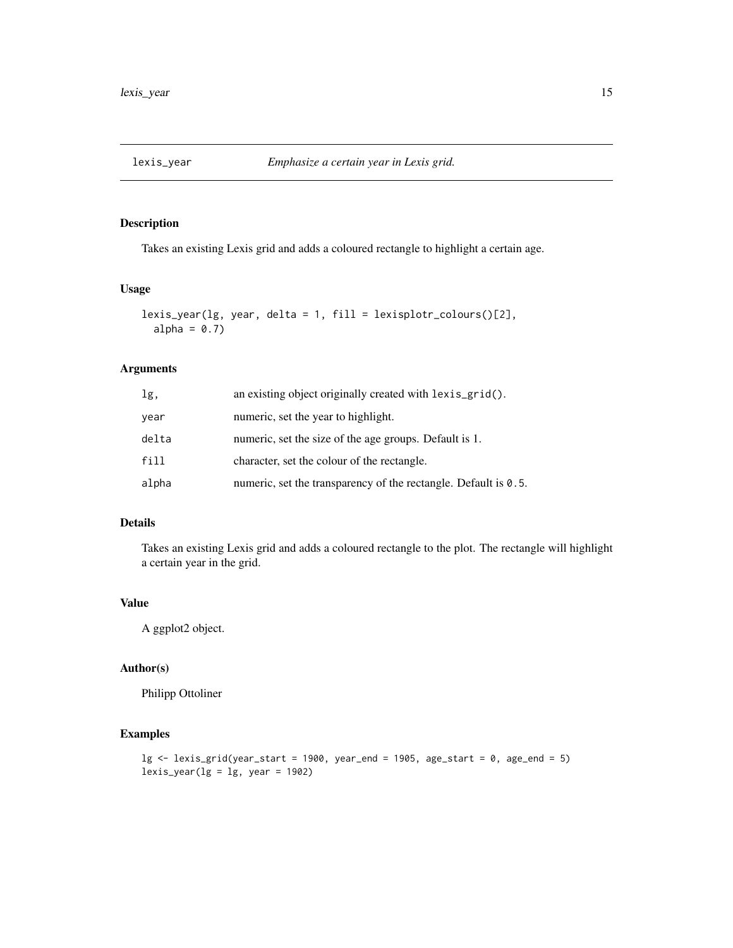<span id="page-14-0"></span>

Takes an existing Lexis grid and adds a coloured rectangle to highlight a certain age.

## Usage

```
lexis_year(lg, year, delta = 1, fill = lexisplotr_colours()[2],
 alpha = 0.7)
```
## Arguments

| lg,   | an existing object originally created with lexis_grid().                 |
|-------|--------------------------------------------------------------------------|
| year  | numeric, set the year to highlight.                                      |
| delta | numeric, set the size of the age groups. Default is 1.                   |
| fill  | character, set the colour of the rectangle.                              |
| alpha | numeric, set the transparency of the rectangle. Default is $\theta$ . 5. |

## Details

Takes an existing Lexis grid and adds a coloured rectangle to the plot. The rectangle will highlight a certain year in the grid.

#### Value

A ggplot2 object.

## Author(s)

Philipp Ottoliner

```
lg \leftarrow lexis_grid(year_start = 1900, year_end = 1905, age_start = 0, age_end = 5)
lexis\_year(lg = lg, year = 1902)
```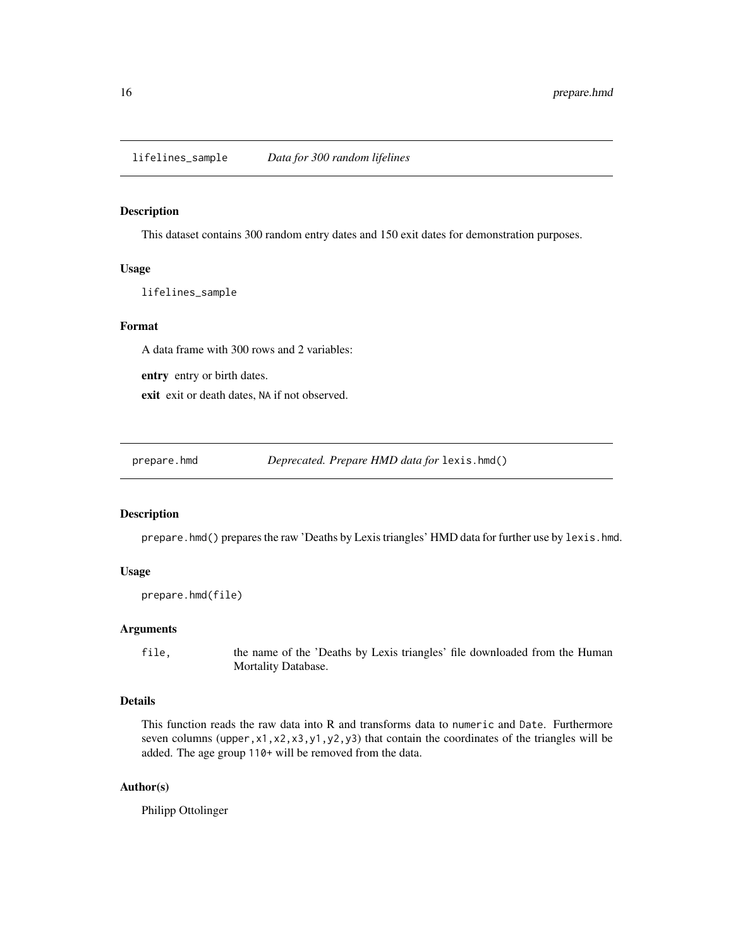<span id="page-15-0"></span>lifelines\_sample *Data for 300 random lifelines*

#### Description

This dataset contains 300 random entry dates and 150 exit dates for demonstration purposes.

#### Usage

lifelines\_sample

#### Format

A data frame with 300 rows and 2 variables:

entry entry or birth dates.

exit exit or death dates, NA if not observed.

prepare.hmd *Deprecated. Prepare HMD data for* lexis.hmd()

#### Description

prepare.hmd() prepares the raw 'Deaths by Lexis triangles' HMD data for further use by lexis.hmd.

#### Usage

```
prepare.hmd(file)
```
#### Arguments

file, the name of the 'Deaths by Lexis triangles' file downloaded from the Human Mortality Database.

#### Details

This function reads the raw data into R and transforms data to numeric and Date. Furthermore seven columns (upper,  $x1$ ,  $x2$ ,  $x3$ ,  $y1$ ,  $y2$ ,  $y3$ ) that contain the coordinates of the triangles will be added. The age group 110+ will be removed from the data.

#### Author(s)

Philipp Ottolinger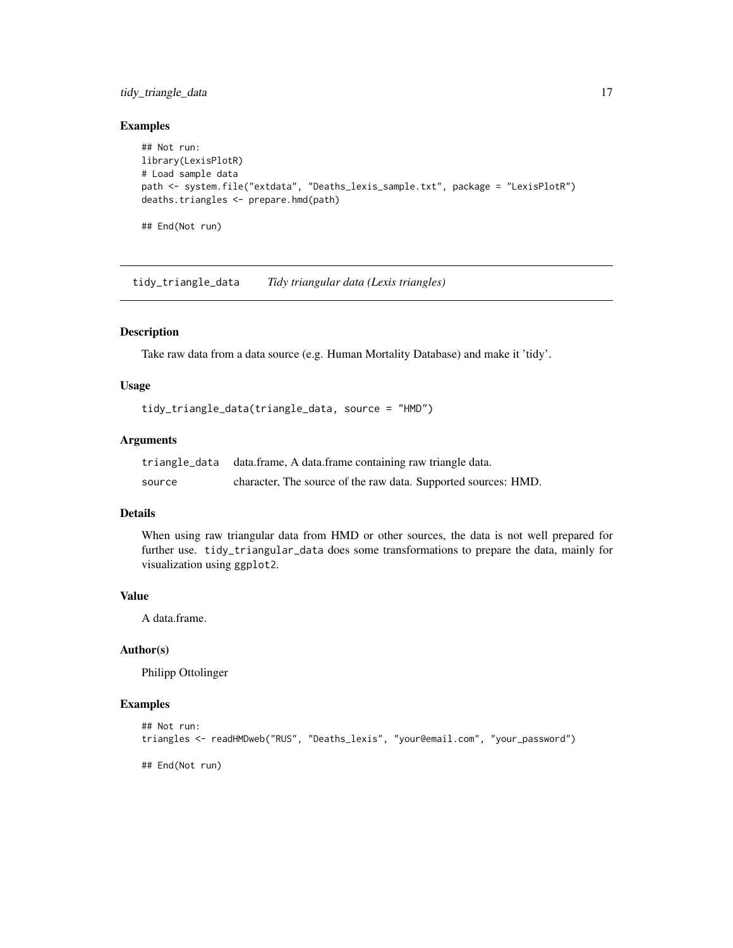## <span id="page-16-0"></span>tidy\_triangle\_data 17

## Examples

```
## Not run:
library(LexisPlotR)
# Load sample data
path <- system.file("extdata", "Deaths_lexis_sample.txt", package = "LexisPlotR")
deaths.triangles <- prepare.hmd(path)
## End(Not run)
```
tidy\_triangle\_data *Tidy triangular data (Lexis triangles)*

#### Description

Take raw data from a data source (e.g. Human Mortality Database) and make it 'tidy'.

#### Usage

```
tidy_triangle_data(triangle_data, source = "HMD")
```
## Arguments

|        | triangle_data data.frame, A data.frame containing raw triangle data. |
|--------|----------------------------------------------------------------------|
| source | character, The source of the raw data. Supported sources: HMD.       |

## Details

When using raw triangular data from HMD or other sources, the data is not well prepared for further use. tidy\_triangular\_data does some transformations to prepare the data, mainly for visualization using ggplot2.

#### Value

A data.frame.

## Author(s)

Philipp Ottolinger

```
## Not run:
triangles <- readHMDweb("RUS", "Deaths_lexis", "your@email.com", "your_password")
## End(Not run)
```